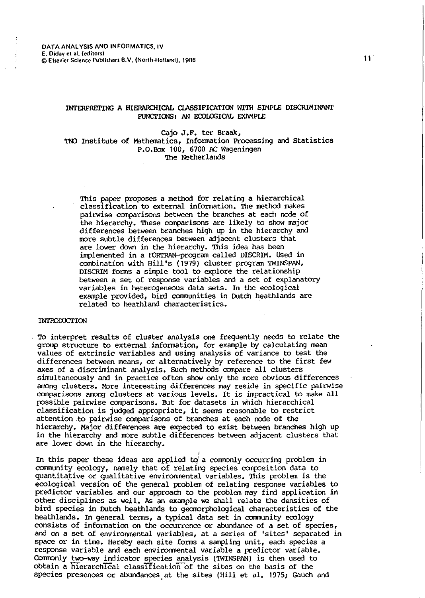# INTERPRETING A HIERARCHICAL CLASSIFICATION WITH SIMPLE DISCRIMINANT FUNCTIONS: AN ECOLOGICAL EXAMPLE

cajo J.F. ter Braak, TNO Institute of Mathematics, Information Processing and Statistics P.O.Box 100, 6700 AC Wageningen 'Ihe Netherlands

This paper proposes a method for relating a hierarchical classification to external information. The method makes pairwise comparisons between the branches at each node of the hierarchy. These comparisons are likely to show major differences between branches high up in the hierarchy and more subtle differences between adjacent clusters that are lower down in the hierarchy. This idea has been implemented in a FORTRAN-program called DISCRIM. Used in combination with Hill's (1979) cluster program TWINSPAN, DISCRIM forms a simple tool to explore the relationship between a set of response variables and a set of explanatory variables in heterogeneous data sets. In the ecological example provided, bird communities in Dutch heathlands are related to heathland characteristics.

### INTRODUCTION

TO interpret results of cluster analysis one frequently needs to relate the group structure to external.information, for example by calculating mean values of extrinsic variables and using analysis of variance to test the differences between means, or alternatively by reference to the first few axes of a discriminant analysis. Such methods compare all clusters simultaneously and in practice often show only the more obvious differences among clusters. More interesting differences may reside in specific pairwise comparisons among clusters at various levels. It is impractical to make all possible pairwise comparisons. But for datasets in which hierarchical classification is judged appropriate, it seems reasonable to restrict attention .to pairwise comparisons of branches at each node of the hierarchy. Major differences are expected to exist between branches high up in the hierarchy and more subtle differences between adjacent clusters that are lower down in the hierarchy.

I

In this paper these ideas are applied to a commonly occurring problem in community ecology, namely that of relating species composition data to quantitative or qualitative environmental variables. This problem is the ecological version of the general problem of relating response variables to predictor variables and our approach to the problem may find application in other disciplines as well. As an example we shall relate the densities of bird species in Dutch heathlands to geomorphological characteristics of the heathlands. In general terms, a typical data set in oommunity ecology consists of information on the occurrence or abundance of a set of species, and on a set of environmental variables, at a series of 'sites' separated in space or in time. Hereby each site forms a sampling unit, each species a response variable and each environmental variable a predictor variable. Comronly two-way indicator species analysis (TWINSPAN) ls then used to obtain a hierarchical classification of the sites on the basis of the species presences or abundances at the sites (Hill et al. 1975; Gauch and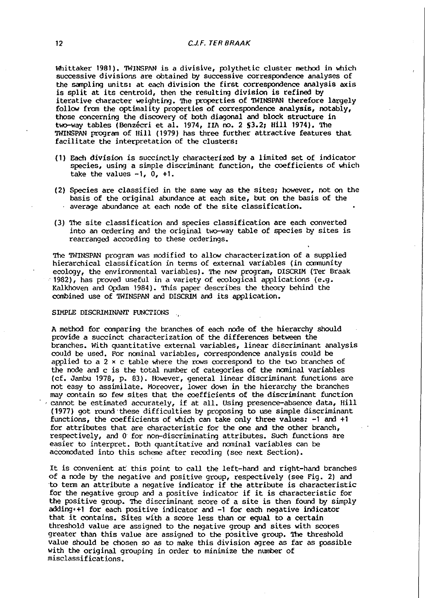Whittaker 1981). TWINSPAN is a divisive, polythetic cluster method in which successive divisions are obtained by successive correspondence analyses of the sanpling units: at each division the first correspondence analysis axis is split at its centroid, then the resulting division is refined by iterative character weighting. The properties of TWINSPAN therefore largely follow from the optimality properties of correspondence analysis, notably, those concerning the discovery of both diagonal and block structure in two-way tables (Benzécri et al. 1974, IIA no. 2 S3.2; Hill 1974). The TWINSPAN program of Hill (1979) has three further attractive features that facilitate the interpretation of the clusters:

- (1) Each division is succinctly characterized by a limited set of indicator species, using a simple discriminant function, the coefficients of which take the values  $-1$ ,  $0$ ,  $+1$ .
- (2) Species are classified in the same way as the sites; however, not on the basis of the original abundance at each site, but on the basis of the average abundance at each node of the site classification.
- (3) The site classification and species classification are each converted into an ordering and the original two-way table of species by sites is rearranged according to these orderings.

The TWINSPAN program was modified to allow characterization of a supplied hierarchical classification in terms of external variables (in community ecology, the environmental variables). The new program, DISCRIM (Ter Braak 1982), has proved useful in a variety of ecological applications (e.g. Kalkhoven and Opdam 1984). This paper describes the theory behind the canbined use of TWINSPAN and DISCRIM and its application.

### SIMPLE DISCRIMINANT FUNCTIONS

A method for ccmparing the branches of each oode of the hierarchy should provide a succinct characterization of the differences between the branches. With quantitative external variables, linear discriminant analysis could be used. For nominal variables, correspondence analysis could be applied to a  $2 \times c$  table where the rows correspond to the two branches of the node and c is the total number of categories of the nominal variables (cf. Jambu 1978, p. 83). However, general linear discriminant functions are not easy to assimilate. Moreover, lower down in the hierarchy the branches may contain so few sites that the coefficients of the discriminant function ·cannot be estimated accurately, if at all. Using presence-absence data, Hill (1977) got round·these difficulties by proposing to use simple discriminant functions, the coefficients of which can take only three values: -1 and +1 for attributes that are characteristic for the one and the other branch, respectively, and 0 for non-discriminating attributes. Such functions are easier to interpret. Both quantitative and nominal variables can be accomodated into this scheme after recoding (see next Section).

It is convenient at this point to call the left-hand and right-hand branches of a node by the negative and positive group, respectively (see Fig. 2) and ·to term an attribute a negative indicator if the attribute is characteristic for the negative group and a positive indicator if it is characteristic for the positive group. The discriminant score of a site is then found by simply adding•+! for each positive indicator and -1 for each negative indicator that it contains. Sites with a score less than or equal to a certain threshold value are assigned to the negative group and sites with scores greater than this value are assigned to the positive group. The threshold value should be chosen so as to make this division agree as far as possible with the original grouping in order to minimize the number of misclassifications.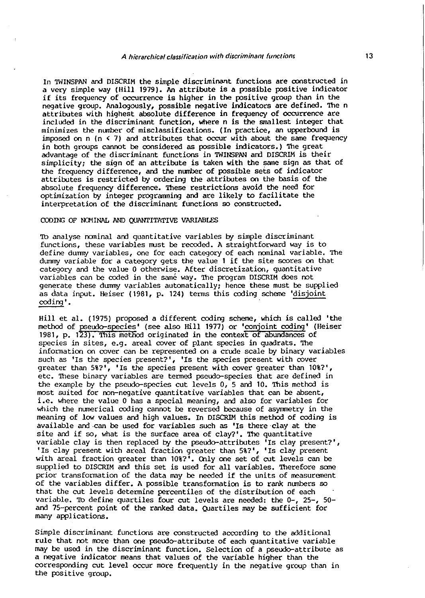In 'IWINSPAN and DISCRIM the simple discriminant functions are oonstructed in a very simple way (Hill 1979). An attribute is a possible positive indicator if its frequency of occurrence is higher in the positive group than in the negative group. Analogously, possible negative indicators are defined. The n attributes with highest absolute difference in frequency of occurrence are included in the discriminant function, where n is the smallest integer that minimizes the number of misclassifications. (In practice, an upperbound is imposed on n  $(n \le 7)$  and attributes that occur with about the same frequency in both groups cannot be considered as possible indicators.) The great advantage of the discriminant functions in 'IWINSPAN and DISCRIM is their simplicity; the sign of an attribute is taken with the same sign as that of the frequency difference, and the number of possible sets of indicator attributes is restricted by ordering the attributes on the basis of the absolute frequency difference. These restrictions avoid the need for optimization by integer programming and are likely to facilitate the interpretation of the discriminant functions so constructed.

## CODING OF NOMINAL AND QUANTITATIVE VARIABLES

1b analyse nominal and quantitative variables by simple discriminant functions, these variables must be recoded. A straightforward way is to define dummy variables, one for each category of each nominal variable. The dummy variable for a category gets the value 1 if the site scores on that category and the value 0 otherwise. After discretization, quantitative variables can be coded in the same way. The program DISCRIM does not generate these dummy variables automatically; hence these must be supplied as data input. Heiser (1981, p. 124) terms this coding scheme 'disjoint coding'.

Hill et al. (1975) proposed a different coding scheme, which is called 'the method of pseudo-species' (see also Hill 1977) or 'conjoint coding' (Heiser 1981, p. 123). This method originated in the context of abundances of species in sites, e.g. areal cover of plant species in quadrats. The information on cover can be represented on a crude scale by binary variables such as 'Is the species present?', 'Is the species present with cover greater than 5%?', 'Is the species present with cover greater than 10%?', etc. These binary variables are termed pseudo-species that are defined in the example by the pseudo-species cut levels 0, 5 and 10. This method is most suited for non-negative quantitative variables that can be absent, i.e. where the value 0 has a special meaning, and also for variables for which the numerical coding cannot be reversed because of asymmetry in the meaning of low values and high values. In DISCRIM this method of coding is available and-can be used for variables such as 'Is there clay at the site and if so, what is the surface area of clay?'. The quantitative variable clay is then replaced by the pseudo-attributes 'Is clay present?', 'Is clay present with areal fraction greater than 5%?', 'Is clay present with areal fraction greater than 10%?<sup>1</sup>. Only one set of cut levels can be supplied to DISCRIM and this set is used for all variables. Therefore some prior transformation of the data may be needed if the units of measurement of the variables differ. A possible transformation is to rank numbers so that the cut levels determine percentiles of the distribution of each variable. 1b define quartiles four cut levels are needed: the 0-, 25-, 50 and 75-percent point of the ranked data. Quartiles may be sufficient for many applications.

Simple discriminant functions are constructed according to the additional rule that not more than one pseudo-attribute of each quantitative variable may be used in the discriminant function. selection of a pseudo-attribute as a negative indicator means that values of the variable higher than the corresponding cut level occur more frequently in the negative group than in the positive group.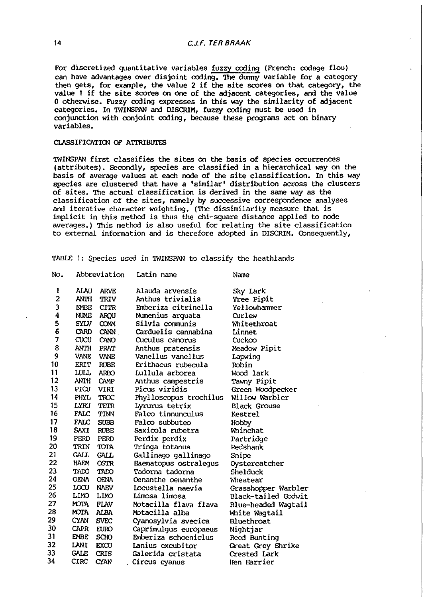For discretized quantitative variables fuzzy coding (French: codage flou) can have advantages over disjoint coding. The dummy variable for a category then gets, for example, the value 2 if the site scores on that category, the value 1 if the site scores on one of the adjacent categories, and the value 0 otherwise. Fuzzy coding expresses in this way the similarity of adjacent categories. In TWINSPAN and DISCRIM, fuzzy coding must be used in conjunction with conjoint coding, because these programs act on binary variables.

# CLASSIFICATION OF ATTRIBUTES

TWINSPAN first classifies the sites on the basis of species occurrences (attributes). Secondly, species are classified in a hierarchical way on the basis of average values at each node of the site classification. In this way species are clustered that have a 'similar' distribution across the clusters of sites. The actual classification is derived in the same way as the classification of the sites, namely by successive correspondence analyses and iterative character weighting. (The dissimilarity measure that is implicit in this method is thus the chi-square distance applied to oode averages.) This method is also useful for relating the site classification to external information and is therefore adopted in DISCRIM. Consequently,

TABLE 1: Species used in TWINSPAN to classify the heathlands

| No.            | Abbreviation      |             | Latin name             | Name                |  |  |
|----------------|-------------------|-------------|------------------------|---------------------|--|--|
| 1              | ALAU              | <b>ARVE</b> | Alauda arvensis        | Sky Lark            |  |  |
| $\overline{2}$ | <b>ANTH</b>       | <b>TRIV</b> | Anthus trivialis       | <b>Tree Pipit</b>   |  |  |
| 3              | <b>EMBE</b>       | <b>CITR</b> | Emberiza citrinella    | Yellowhammer        |  |  |
| 4              | NUME              | ARQU        | Numenius arquata       | Curlew              |  |  |
| 5              | <b>SYLV</b>       | <b>COMM</b> | Silvia communis        | Whitethroat         |  |  |
| 6              | <b>CARD</b>       | <b>CANN</b> | Carduelis cannabina    | Linnet              |  |  |
| 7              | $\alpha$ $\alpha$ | CANO        | Cuculus canorus        | Cuckoo              |  |  |
| 8              | ANTH              | PRAT        | Anthus pratensis       | Meadow Pipit        |  |  |
| 9              | <b>VANE</b>       | VANE        | Vanellus vanellus      | Lapwing             |  |  |
| 10             | <b>ERIT</b>       | <b>RUBE</b> | Erithacus rubecula     | Robin               |  |  |
| 11             | <b>LULL</b>       | <b>ARBO</b> | Lullula arborea        | Wood lark           |  |  |
| 12             | <b>ANTH</b>       | <b>CAMP</b> | Anthus campestris      | Tawny Pipit         |  |  |
| 13             | PICU              | VIRI        | Picus viridis          | Green Woodpecker    |  |  |
| 14             | PHYL              | <b>TROC</b> | Phylloscopus trochilus | Willow Warbler      |  |  |
| 15             | LYRU              | TETR        | Lyrurus tetrix         | <b>Black Grouse</b> |  |  |
| 16             | FALC              | TINN        | Falco tinnunculus      | Kestrel             |  |  |
| 17             | FALC              | <b>SUBB</b> | Falco subbuteo         | Hobby               |  |  |
| 18             | SAXI              | <b>RUBE</b> | Saxicola rubetra       | Whinchat            |  |  |
| 19             | PERD              | PERD        | Perdix perdix          | Partridge           |  |  |
| 20             | TRIN              | TOTA        | Tringa totanus         | Redshank            |  |  |
| 21             | <b>CALL</b>       | <b>GALL</b> | Gallinago gallinago    | Snipe               |  |  |
| 22             | HAEM              | <b>OSTR</b> | Haematopus ostralegus  | Oystercatcher       |  |  |
| 23             | TADO              | TADO        | Tadorna tadorna        | Shelduck            |  |  |
| 24             | OENA              | <b>OENA</b> | Oenanthe oenanthe      | Wheatear            |  |  |
| 25             | LOCU              | <b>NAEV</b> | Locustella naevia      | Grasshopper Warbler |  |  |
| 26             | LIMO              | <b>LIMO</b> | Limosa limosa          | Black-tailed Godwit |  |  |
| 27             | <b>MOTA</b>       | <b>FLAV</b> | Motacilla flava flava  | Blue-headed Wagtail |  |  |
| 28             | <b>MOTA</b>       | <b>ALBA</b> | Motacilla alba         | White Wagtail       |  |  |
| 29             | <b>CYAN</b>       | <b>SVEC</b> | Cyanosylvia svecica    | Bluethroat          |  |  |
| 30             | CAPR              | <b>EURO</b> | Caprimulgus europaeus  | Nightjar            |  |  |
| 31             | <b>EMBE</b>       | <b>SCHO</b> | Emberiza schoeniclus   | Reed Bunting        |  |  |
| 32             | LANI              | <b>EXCU</b> | Lanius excubitor       | Great Grey Shrike   |  |  |
| 33             | <b>GALE</b>       | <b>CRIS</b> | Galerida cristata      | Crested Lark        |  |  |
| 34             | <b>CIRC</b>       | CYAN        | Circus cyanus          | Hen Harrier         |  |  |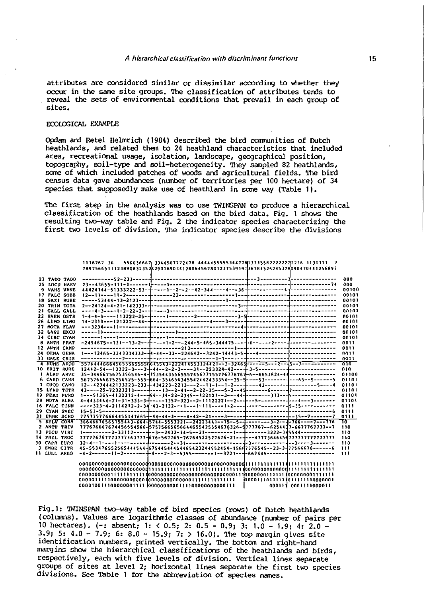attributes are considered similar or dissimilar according to whether they occur in the same site groups. The classification of attributes tends to reveal the sets of environmental conditions that prevail in each group of sites.

# ECOUXICAL EXAMPLE

Opdan and Retel Helmrich ( 1984) described the bird ccmnunities of Dutch heathlands, and related them to 24 heathland characteristics that included area, recreational usage, isolation, landscape, geographical position, topography, soil-type and soil-heterogeneity. They sanpled 82 heathlands, some of which included patches of woods and agricultural fields. The bird census data gave abundances (number of territories per 100 hectare) of 34 species that supposedly make use of heathland in some way (Table 1).

The first step in the analysis was to use TWINSPAN to produce a hierarchical classification of the heathlands based on the bird data. Fig. 1 shows the resulting two-way table and Fig. 2 the indicator species characterizing the first two levels of division. The indicator species describe the divisions

|                    |                     | 556636667 3344567772478 444445555534477683335582222222236 1131111 7<br>1116767 36    |       |
|--------------------|---------------------|--------------------------------------------------------------------------------------|-------|
|                    |                     | 78975665111238908323524290169034128064567801237539191}3678452624537f{090470441256897 |       |
|                    |                     |                                                                                      |       |
|                    | 23 TADO TADO        |                                                                                      | 000   |
|                    | 25 LOCU NAEV        |                                                                                      | 000   |
|                    | <b>9 VANE VANE</b>  |                                                                                      | 00100 |
|                    | 17 FALC SUBB        |                                                                                      | 00101 |
|                    | <b>18 SAXI RUBE</b> |                                                                                      | 00101 |
|                    | 20 TRIN TOTA        |                                                                                      | 00101 |
|                    | 21 GALL GALL        |                                                                                      | 00101 |
|                    | 22 HAEM OSTR        |                                                                                      | 00101 |
|                    | 26 LIHO LIHO        |                                                                                      | 00101 |
|                    | 27 HOTA FLAV        |                                                                                      | 00101 |
|                    | 32 LANI EXCU        |                                                                                      | 00101 |
|                    | 34 CIRC CYAN        |                                                                                      | 00101 |
|                    | 8 ANTH PRAT         |                                                                                      | 0011  |
|                    | 12 ANTH CAMP        |                                                                                      | 0011  |
|                    | 24 OENA OENA        |                                                                                      | 0011  |
| 33 GALE CRIS       |                     |                                                                                      | 0011  |
|                    |                     |                                                                                      | -919  |
| 10 ERIT RUBE       |                     |                                                                                      | 010   |
| <b>I ALAU ARVE</b> |                     | 35-3446675675356546-4-7535443556555745677755776776766653624-44--------------         | 01100 |
| 6 CARD CANN        |                     |                                                                                      | 01101 |
| 7 CUCO CANO        |                     |                                                                                      | 01101 |
| 15 LYRU TETR       |                     |                                                                                      | 01101 |
| 19 PERD PERD       |                     |                                                                                      | 01101 |
| 28 HOTA ALBA       |                     |                                                                                      | 01101 |
| 16 FALC TINN       |                     |                                                                                      | 0111  |
| 29 CYAN SVEC       |                     |                                                                                      | 0111  |
| 31 EHBE SCHO       |                     |                                                                                      | 0111  |
| 5 SYLV CONN        |                     |                                                                                      | 70.   |
| 2 ANTH TRIV        |                     | 777676667674456554566-57575665656644655425554676326-5777767--6254437-6677767777--7   | 110   |
| 13 PICU VIRI       |                     |                                                                                      | 110   |
| 14 PHYL TROC       |                     |                                                                                      | 110   |
| 30 CAPR EURO       |                     |                                                                                      | 110   |
| <b>J EMBE CITR</b> |                     |                                                                                      | 111   |
| 11 LULL ARBO       |                     |                                                                                      | 111   |
|                    |                     |                                                                                      |       |
|                    |                     |                                                                                      |       |
|                    |                     |                                                                                      |       |
|                    |                     |                                                                                      |       |
|                    |                     |                                                                                      |       |
|                    |                     | 000111 0001111000011                                                                 |       |
|                    |                     |                                                                                      |       |

Fig. 1: TWINSPAN two-way table of bird species (rows) of Dutch heathlands (columns). Values are logarithmic classes of abundance (number of pairs per 10 hectares). (-: absent; 1: < 0.5; 2: 0.5- 0.9; 3: 1.0- 1.9; 4: 2.0- 3.9; 5: 4.0 - 7.9; 6: 8.0 - 15.9; 7: > 16.0). The top margin gives site identification numbers, printed vertically. The bottom and right-hand margins show the hierarchical classifications of the heathlands and birds, respectively, each with five levels of division. Vertical lines separate groups of sites at level 2; horizontal lines separate the first two species divisions. See Table 1 for the abbreviation of species names.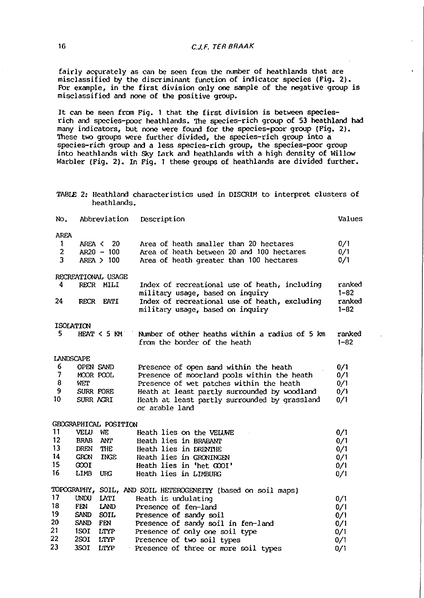fairly accurately as can be seen from the number of heathlands that are misclassified by the discriminant function of indicator species (Fig. 2). FOr example, in the first division only one sample of the negative group is misclassified and none of the positive group.

It can be seen from Fig. 1 that the first division is between speciesrich and species-poor heathlands. The species-rich group of 53 heathland had many indicators, but none were found for the species-poor group (Fig. 2). These two groups were further divided, the species-rich group into a species-rich group and a less species-rich group, the species-poor group into heathlands with Sky Lark and heathlands with a high density of Willow Warbler (Fig. 2). In Fig. 1 these groups of heathlands are divided further.

|  |             | TABLE 2: Heathland characteristics used in DISCRIM to interpret clusters of |  |  |  |  |
|--|-------------|-----------------------------------------------------------------------------|--|--|--|--|
|  | heathlands. |                                                                             |  |  |  |  |

| No.               | Abbreviation               | Description                                                   | Values   |
|-------------------|----------------------------|---------------------------------------------------------------|----------|
| <b>AREA</b>       |                            |                                                               |          |
| $\mathbf{1}$      | AREA <<br>20               | Area of heath smaller than 20 hectares                        | 0/1      |
| $\overline{a}$    | $AR20 - 100$               | Area of heath between 20 and 100 hectares                     | 0/1      |
| 3                 | AREA > 100                 | Area of heath greater than 100 hectares                       | 0/1      |
|                   | RECREATIONAL USAGE         |                                                               |          |
| 4                 | RECR MILI                  | Index of recreational use of heath, including                 | ranked   |
|                   |                            | military usage, based on inquiry                              | $1 - 82$ |
| 24                | <b>RECR</b><br><b>EATI</b> | Index of recreational use of heath, excluding                 | ranked   |
|                   |                            | military usage, based on inquiry                              | $1 - 82$ |
|                   | <b>ISOLATION</b>           |                                                               |          |
| 5.                | $HERT < 5$ $KM$            | Number of other heaths within a radius of 5 km                | ranked   |
|                   |                            | from the border of the heath                                  | $1 - 82$ |
|                   | LANDSCAPE                  |                                                               |          |
| 6                 | OPEN SAND                  | Presence of open sand within the heath                        | 0/1      |
| 7                 | MOOR POOL                  | Presence of moorland pools within the heath                   | 0/1      |
| 8                 | WET                        | Presence of wet patches within the heath                      | 0/1      |
| 9                 | SURR FORE                  | Heath at least partly surrounded by woodland                  | 0/1      |
| 10                | SURR AGRI                  | Heath at least partly surrounded by grassland                 | 0/1      |
|                   |                            | or arable land                                                |          |
|                   | GEOGRAPHICAL POSITION      |                                                               |          |
| 11                | VELU<br>WE                 | Heath lies on the VELUWE                                      | 0/1      |
| $12 \overline{ }$ | <b>BRAB</b><br><b>ANT</b>  | Heath lies in BRABANT                                         | 0/1      |
| 13                | DREN<br>THE                | Heath lies in DRENTHE                                         | 0/1      |
| 14                | <b>GRON</b><br><b>INGE</b> | Heath lies in GRONINGEN                                       | 0/1      |
| 15                | $\infty$                   | Heath lies in 'het GOOI'                                      | 0/1      |
| 16                | <b>LIMB</b><br>URG         | Heath lies in LIMBURG                                         | 0/1      |
|                   |                            | TOPOGRAPHY, SOIL, AND SOIL HETEROGENEITY (based on soil maps) |          |
| 17                | UNDU<br><b>LATI</b>        | Heath is undulating                                           | 0/1      |
| 18                | <b>FEN</b><br>LAND         | Presence of fen-land                                          | 0/1      |
| 19                | SAND SOIL                  | Presence of sandy soil                                        | 0/1      |
| 20                | SAND FEN                   | Presence of sandy soil in fen-land                            | 0/1      |
| 21                | 1SOI LTYP                  | Presence of only one soil type                                | 0/1      |
| 22                | 2SOI LTYP                  | Presence of two soil types                                    | 0/1      |
| 23                | 3SOI<br>LTYP               | Presence of three or more soil types                          | 0/1      |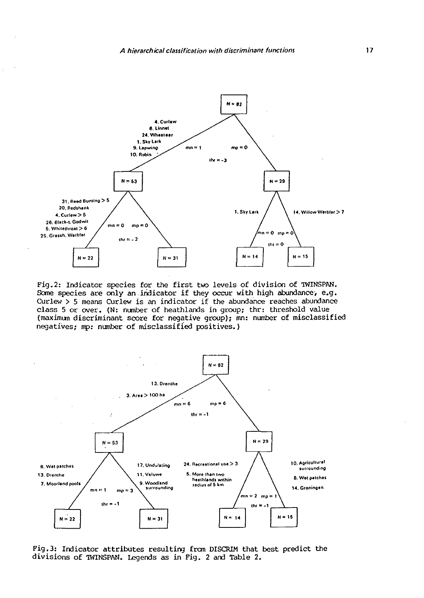ł.



Fig.2: Indicator species for the first two levels of division of TWINSPAN. Some species are only an indicator if they occur with high abundance, e.g. Curlew > 5 means Curlew is an indicator if the abundance reaches abundance class 5 or over. (N: number of heathlands in group; thr: threshold *value*  (maximum discriminant score for negative group); mn: number of misclassified negatives; mp: number of misclassified positives.)



Fig.3: Indicator attributes resulting from DISCRIM that best predict the divisions of 'IWINSPAN. Legends as in Fig. 2 and Table 2.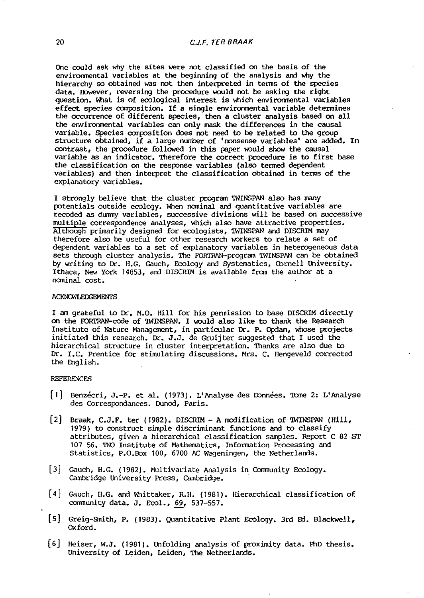One could ask why the sites were not classified on the basis of the environmental variables at the beginning of the analysis and why the hierarchy so obtained was not then interpreted in terms of the species data. However, reversing the procedure would not be asking the right question. What is of ecological interest is which environmental variables effect species composition. If a single environmental variable determines the occurrence of different species, then a cluster analysis based on all the environmental variables can only mask the differences in the causal variable. Species composition does not need to be related to the group structure obtained, if a large number of 'nonsense variables' are added. In contrast, the procedure followed in this paper would show the causal variable as an indicator. Therefore the correct procedure is to first base the classification on the response variables (also termed dependent variables) and then interpret the classification obtained in terms of the explanatory variables.

I strongly believe that the cluster program TWINSPAN also has many potentials outside ecology. When nominal and quantitative variables are recoded as dummy variables, successive divisions will be based on successive multiple correspondence analyses, which also have attractive properties. AlthOugh primarily designed for ecologists, 'IWINSPAN and DISCRIM may therefore also be useful for other research workers to relate a set of dependent variables to a set of explanatory variables in heterogeneous data sets through cluster analysis. The FORTRAN-program TWINSPAN can be obtained by writing to Dr. H.G. Gauch, Ecology and Systematics, Cornell University. Ithaca, New York 14853, and DISCRIM is available from the author at a nominal cost. ·

### **ACKNOWLEDGEMENTS**

I am grateful to Dr. M.O. Hill for his permission to base DISCRIM directly on the FORTRAN-code of 'IWINSPAN. I would also like to thank the Research Institute of Nature Management, in particular Dr. P. Opdam, whose projects initiated this research. Dr. J.J. de Gruijter suggested that I used the hierarchical structure in cluster interpretation. Thanks are also due to Dr. I.C. Prentice for stimulating discussions. Mrs. C. Hengeveld corrected the English.

## REFERENCES

- [1] Benzécri, J.-P. et al. (1973). L'Analyse des Données. Tome 2: L'Analyse des Correspondances. Dunod, Paris.
- [2] Braak, C.J.F. ter (1982). DISCRIM A modification of TWINSPAN (Hill, 1979) to oonstruct simple discriminant functions and to classify attributes, given a hierarchical classification samples. Report C 82 ST 107 56. TNO Institute of Mathematics, Information Processing and Statistics, P.O.Box 100, 6700 AC Wageningen, the Netherlands.
- [3) Gauch, H.G. (1982). Multivariate Analysis in Oommunity Ecology. Cambridge University Press, Cambridge.
- [4) Gauch, H.G. and Whittaker, R.H. (1981). Hierarchical classification of carmunity data. J. Ecol., 69, 537-557.
- [5] Greig-Smith, P. (1983). Quantitative Plant Ecology. 3rd Ed. Blackwell, Oxford.
- [6] Heiser, W.J. (1981). Unfolding analysis of proximity data. PhD thesis. University of Leiden, Leiden, The Netherlands.